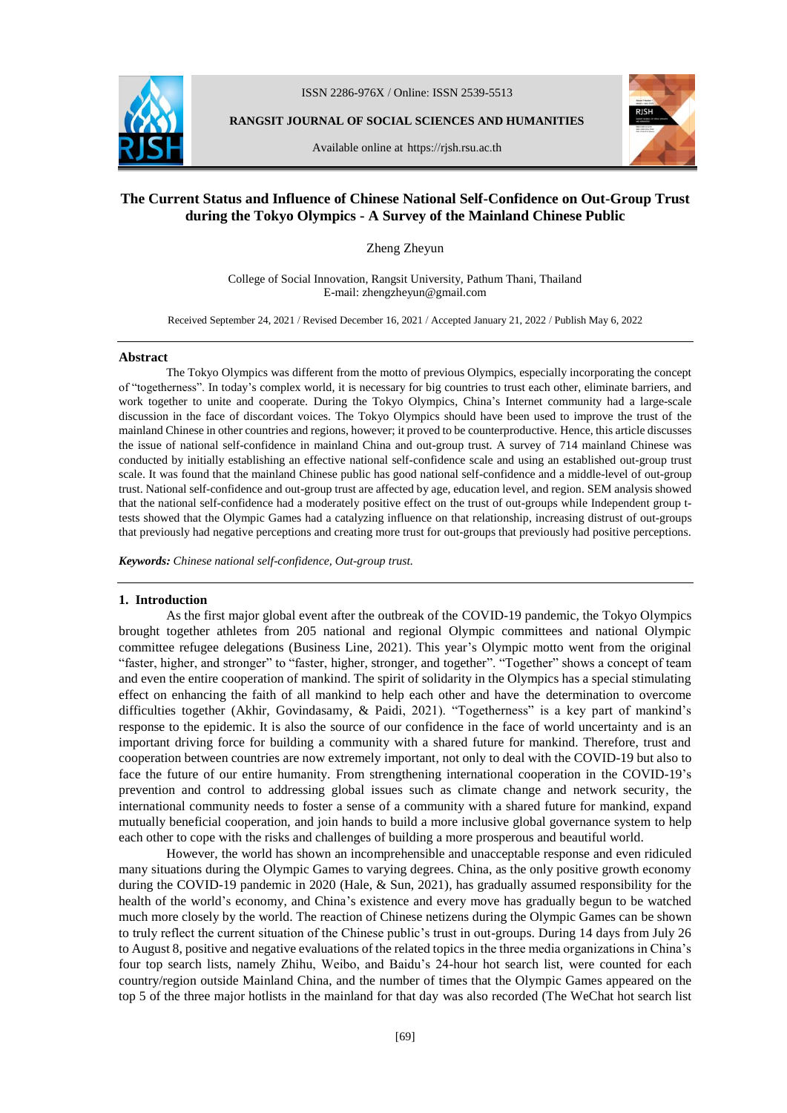

ISSN 2286-976X / Online: ISSN 2539-5513

**RANGSIT JOURNAL OF SOCIAL SCIENCES AND HUMANITIES**

Available online at https://rjsh.rsu.ac.th



# **The Current Status and Influence of Chinese National Self-Confidence on Out-Group Trust during the Tokyo Olympics - A Survey of the Mainland Chinese Public**

Zheng Zheyun

College of Social Innovation, Rangsit University, Pathum Thani, Thailand E-mail: zhengzheyun@gmail.com

Received September 24, 2021 / Revised December 16, 2021 / Accepted January 21, 2022 / Publish May 6, 2022

#### **Abstract**

The Tokyo Olympics was different from the motto of previous Olympics, especially incorporating the concept of "togetherness". In today's complex world, it is necessary for big countries to trust each other, eliminate barriers, and work together to unite and cooperate. During the Tokyo Olympics, China's Internet community had a large-scale discussion in the face of discordant voices. The Tokyo Olympics should have been used to improve the trust of the mainland Chinese in other countries and regions, however; it proved to be counterproductive. Hence, this article discusses the issue of national self-confidence in mainland China and out-group trust. A survey of 714 mainland Chinese was conducted by initially establishing an effective national self-confidence scale and using an established out-group trust scale. It was found that the mainland Chinese public has good national self-confidence and a middle-level of out-group trust. National self-confidence and out-group trust are affected by age, education level, and region. SEM analysis showed that the national self-confidence had a moderately positive effect on the trust of out-groups while Independent group ttests showed that the Olympic Games had a catalyzing influence on that relationship, increasing distrust of out-groups that previously had negative perceptions and creating more trust for out-groups that previously had positive perceptions.

*Keywords: Chinese national self-confidence, Out-group trust.*

### **1. Introduction**

As the first major global event after the outbreak of the COVID-19 pandemic, the Tokyo Olympics brought together athletes from 205 national and regional Olympic committees and national Olympic committee refugee delegations (Business Line, 2021). This year's Olympic motto went from the original "faster, higher, and stronger" to "faster, higher, stronger, and together". "Together" shows a concept of team and even the entire cooperation of mankind. The spirit of solidarity in the Olympics has a special stimulating effect on enhancing the faith of all mankind to help each other and have the determination to overcome difficulties together (Akhir, Govindasamy, & Paidi, 2021). "Togetherness" is a key part of mankind's response to the epidemic. It is also the source of our confidence in the face of world uncertainty and is an important driving force for building a community with a shared future for mankind. Therefore, trust and cooperation between countries are now extremely important, not only to deal with the COVID-19 but also to face the future of our entire humanity. From strengthening international cooperation in the COVID-19's prevention and control to addressing global issues such as climate change and network security, the international community needs to foster a sense of a community with a shared future for mankind, expand mutually beneficial cooperation, and join hands to build a more inclusive global governance system to help each other to cope with the risks and challenges of building a more prosperous and beautiful world.

However, the world has shown an incomprehensible and unacceptable response and even ridiculed many situations during the Olympic Games to varying degrees. China, as the only positive growth economy during the COVID-19 pandemic in 2020 (Hale, & Sun, 2021), has gradually assumed responsibility for the health of the world's economy, and China's existence and every move has gradually begun to be watched much more closely by the world. The reaction of Chinese netizens during the Olympic Games can be shown to truly reflect the current situation of the Chinese public's trust in out-groups. During 14 days from July 26 to August 8, positive and negative evaluations of the related topics in the three media organizations in China's four top search lists, namely Zhihu, Weibo, and Baidu's 24-hour hot search list, were counted for each country/region outside Mainland China, and the number of times that the Olympic Games appeared on the top 5 of the three major hotlists in the mainland for that day was also recorded (The WeChat hot search list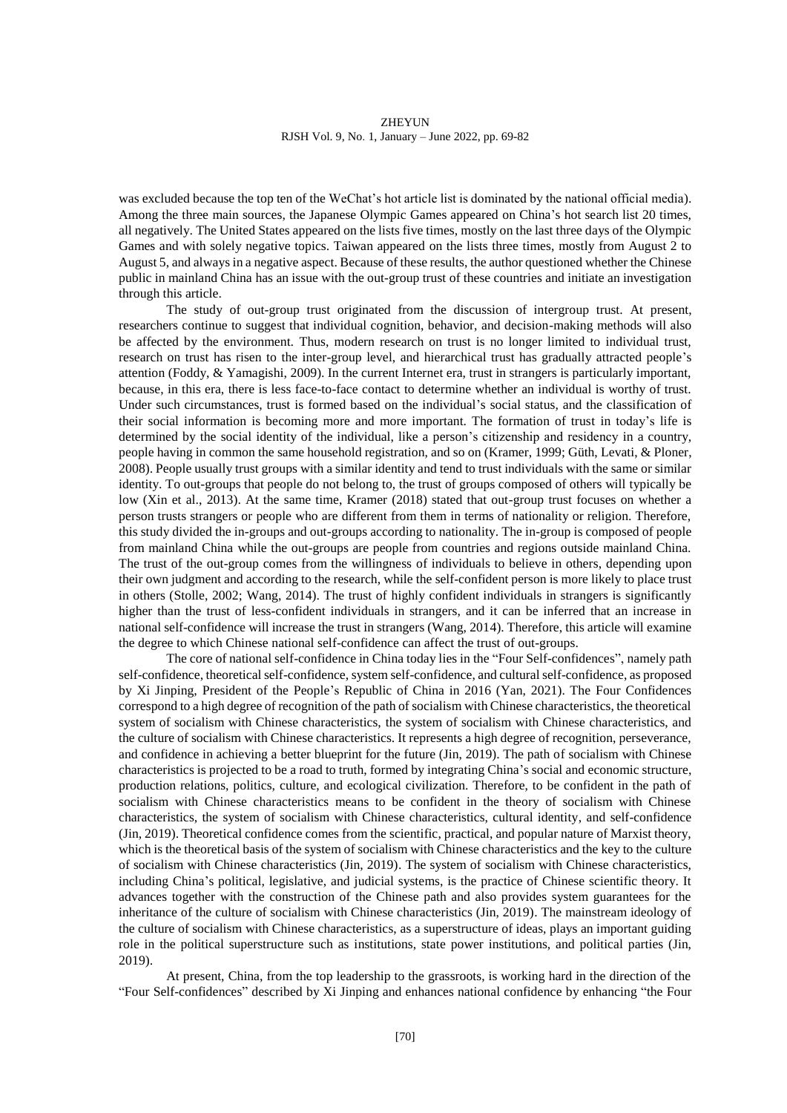was excluded because the top ten of the WeChat's hot article list is dominated by the national official media). Among the three main sources, the Japanese Olympic Games appeared on China's hot search list 20 times, all negatively. The United States appeared on the lists five times, mostly on the last three days of the Olympic Games and with solely negative topics. Taiwan appeared on the lists three times, mostly from August 2 to August 5, and always in a negative aspect. Because of these results, the author questioned whether the Chinese public in mainland China has an issue with the out-group trust of these countries and initiate an investigation through this article.

The study of out-group trust originated from the discussion of intergroup trust. At present, researchers continue to suggest that individual cognition, behavior, and decision-making methods will also be affected by the environment. Thus, modern research on trust is no longer limited to individual trust, research on trust has risen to the inter-group level, and hierarchical trust has gradually attracted people's attention (Foddy, & Yamagishi, 2009). In the current Internet era, trust in strangers is particularly important, because, in this era, there is less face-to-face contact to determine whether an individual is worthy of trust. Under such circumstances, trust is formed based on the individual's social status, and the classification of their social information is becoming more and more important. The formation of trust in today's life is determined by the social identity of the individual, like a person's citizenship and residency in a country, people having in common the same household registration, and so on (Kramer, 1999; Güth, Levati, & Ploner, 2008). People usually trust groups with a similar identity and tend to trust individuals with the same or similar identity. To out-groups that people do not belong to, the trust of groups composed of others will typically be low (Xin et al., 2013). At the same time, Kramer (2018) stated that out-group trust focuses on whether a person trusts strangers or people who are different from them in terms of nationality or religion. Therefore, this study divided the in-groups and out-groups according to nationality. The in-group is composed of people from mainland China while the out-groups are people from countries and regions outside mainland China. The trust of the out-group comes from the willingness of individuals to believe in others, depending upon their own judgment and according to the research, while the self-confident person is more likely to place trust in others (Stolle, 2002; Wang, 2014). The trust of highly confident individuals in strangers is significantly higher than the trust of less-confident individuals in strangers, and it can be inferred that an increase in national self-confidence will increase the trust in strangers (Wang, 2014). Therefore, this article will examine the degree to which Chinese national self-confidence can affect the trust of out-groups.

The core of national self-confidence in China today lies in the "Four Self-confidences", namely path self-confidence, theoretical self-confidence, system self-confidence, and cultural self-confidence, as proposed by Xi Jinping, President of the People's Republic of China in 2016 (Yan, 2021). The Four Confidences correspond to a high degree of recognition of the path of socialism with Chinese characteristics, the theoretical system of socialism with Chinese characteristics, the system of socialism with Chinese characteristics, and the culture of socialism with Chinese characteristics. It represents a high degree of recognition, perseverance, and confidence in achieving a better blueprint for the future (Jin, 2019). The path of socialism with Chinese characteristics is projected to be a road to truth, formed by integrating China's social and economic structure, production relations, politics, culture, and ecological civilization. Therefore, to be confident in the path of socialism with Chinese characteristics means to be confident in the theory of socialism with Chinese characteristics, the system of socialism with Chinese characteristics, cultural identity, and self-confidence (Jin, 2019). Theoretical confidence comes from the scientific, practical, and popular nature of Marxist theory, which is the theoretical basis of the system of socialism with Chinese characteristics and the key to the culture of socialism with Chinese characteristics (Jin, 2019). The system of socialism with Chinese characteristics, including China's political, legislative, and judicial systems, is the practice of Chinese scientific theory. It advances together with the construction of the Chinese path and also provides system guarantees for the inheritance of the culture of socialism with Chinese characteristics (Jin, 2019). The mainstream ideology of the culture of socialism with Chinese characteristics, as a superstructure of ideas, plays an important guiding role in the political superstructure such as institutions, state power institutions, and political parties (Jin, 2019).

At present, China, from the top leadership to the grassroots, is working hard in the direction of the "Four Self-confidences" described by Xi Jinping and enhances national confidence by enhancing "the Four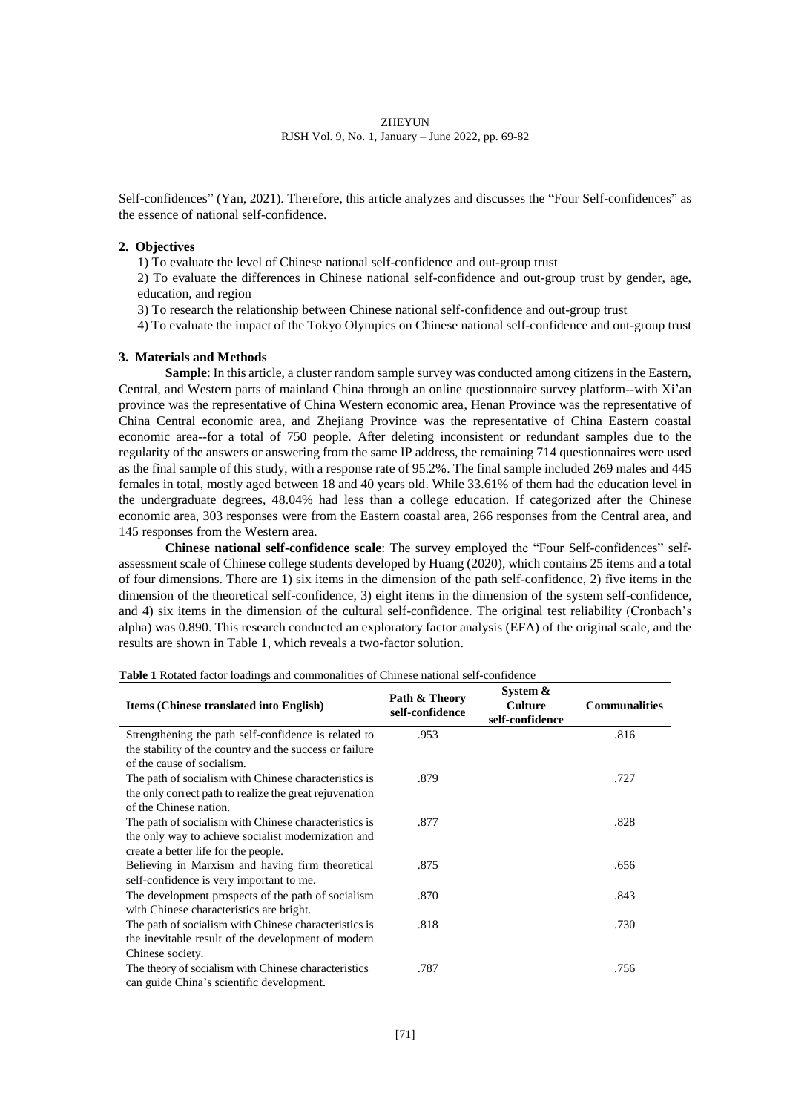Self-confidences" (Yan, 2021). Therefore, this article analyzes and discusses the "Four Self-confidences" as the essence of national self-confidence.

# **2. Objectives**

1) To evaluate the level of Chinese national self-confidence and out-group trust

2) To evaluate the differences in Chinese national self-confidence and out-group trust by gender, age, education, and region

3) To research the relationship between Chinese national self-confidence and out-group trust

4) To evaluate the impact of the Tokyo Olympics on Chinese national self-confidence and out-group trust

# **3. Materials and Methods**

**Sample**: In this article, a cluster random sample survey was conducted among citizens in the Eastern, Central, and Western parts of mainland China through an online questionnaire survey platform--with Xi'an province was the representative of China Western economic area, Henan Province was the representative of China Central economic area, and Zhejiang Province was the representative of China Eastern coastal economic area--for a total of 750 people. After deleting inconsistent or redundant samples due to the regularity of the answers or answering from the same IP address, the remaining 714 questionnaires were used as the final sample of this study, with a response rate of 95.2%. The final sample included 269 males and 445 females in total, mostly aged between 18 and 40 years old. While 33.61% of them had the education level in the undergraduate degrees, 48.04% had less than a college education. If categorized after the Chinese economic area, 303 responses were from the Eastern coastal area, 266 responses from the Central area, and 145 responses from the Western area.

**Chinese national self-confidence scale**: The survey employed the "Four Self-confidences" selfassessment scale of Chinese college students developed by Huang (2020), which contains 25 items and a total of four dimensions. There are 1) six items in the dimension of the path self-confidence, 2) five items in the dimension of the theoretical self-confidence, 3) eight items in the dimension of the system self-confidence, and 4) six items in the dimension of the cultural self-confidence. The original test reliability (Cronbach's alpha) was 0.890. This research conducted an exploratory factor analysis (EFA) of the original scale, and the results are shown in Table 1, which reveals a two-factor solution.

| <b>Items (Chinese translated into English)</b>          | Path & Theory<br>self-confidence | System &<br><b>Culture</b><br>self-confidence | <b>Communalities</b> |  |
|---------------------------------------------------------|----------------------------------|-----------------------------------------------|----------------------|--|
| Strengthening the path self-confidence is related to    | .953                             |                                               | .816                 |  |
| the stability of the country and the success or failure |                                  |                                               |                      |  |
| of the cause of socialism.                              |                                  |                                               |                      |  |
| The path of socialism with Chinese characteristics is   | .879                             |                                               | .727                 |  |
| the only correct path to realize the great rejuvenation |                                  |                                               |                      |  |
| of the Chinese nation.                                  |                                  |                                               |                      |  |
| The path of socialism with Chinese characteristics is   | .877                             |                                               | .828                 |  |
| the only way to achieve socialist modernization and     |                                  |                                               |                      |  |
| create a better life for the people.                    |                                  |                                               |                      |  |
| Believing in Marxism and having firm theoretical        | .875                             |                                               | .656                 |  |
| self-confidence is very important to me.                |                                  |                                               |                      |  |
| The development prospects of the path of socialism      | .870                             |                                               | .843                 |  |
| with Chinese characteristics are bright.                |                                  |                                               |                      |  |
| The path of socialism with Chinese characteristics is   | .818                             |                                               | .730                 |  |
| the inevitable result of the development of modern      |                                  |                                               |                      |  |
| Chinese society.                                        |                                  |                                               |                      |  |
| The theory of socialism with Chinese characteristics    | .787                             |                                               | .756                 |  |
| can guide China's scientific development.               |                                  |                                               |                      |  |

**Table 1** Rotated factor loadings and commonalities of Chinese national self-confidence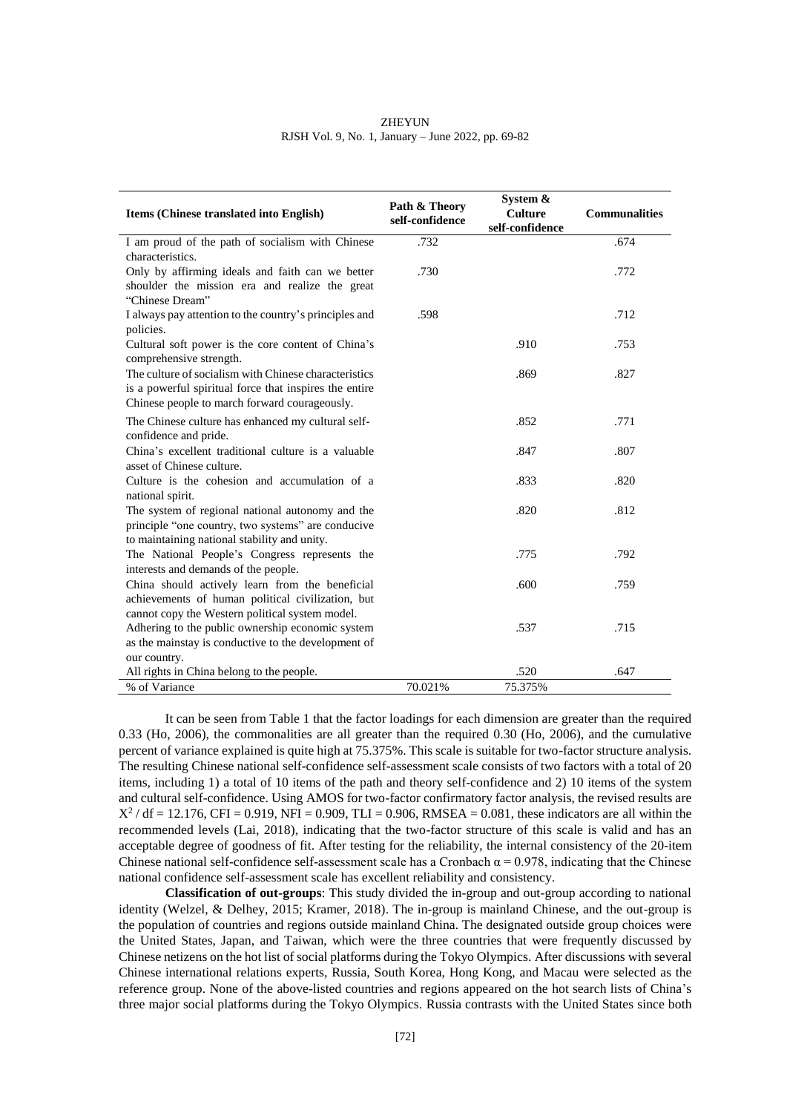| <b>ZHEYUN</b>                                      |  |
|----------------------------------------------------|--|
| RJSH Vol. 9, No. 1, January – June 2022, pp. 69-82 |  |

| Items (Chinese translated into English)                                                                                                                          | Path & Theory<br>self-confidence | System &<br><b>Culture</b><br>self-confidence | <b>Communalities</b> |
|------------------------------------------------------------------------------------------------------------------------------------------------------------------|----------------------------------|-----------------------------------------------|----------------------|
| I am proud of the path of socialism with Chinese<br>characteristics.                                                                                             | .732                             |                                               | .674                 |
| Only by affirming ideals and faith can we better<br>shoulder the mission era and realize the great<br>"Chinese Dream"                                            | .730                             |                                               | .772                 |
| I always pay attention to the country's principles and<br>policies.                                                                                              | .598                             |                                               | .712                 |
| Cultural soft power is the core content of China's<br>comprehensive strength.                                                                                    |                                  | .910                                          | .753                 |
| The culture of socialism with Chinese characteristics<br>is a powerful spiritual force that inspires the entire<br>Chinese people to march forward courageously. |                                  | .869                                          | .827                 |
| The Chinese culture has enhanced my cultural self-<br>confidence and pride.                                                                                      |                                  | .852                                          | .771                 |
| China's excellent traditional culture is a valuable<br>asset of Chinese culture.                                                                                 |                                  | .847                                          | .807                 |
| Culture is the cohesion and accumulation of a<br>national spirit.                                                                                                |                                  | .833                                          | .820                 |
| The system of regional national autonomy and the<br>principle "one country, two systems" are conducive<br>to maintaining national stability and unity.           |                                  | .820                                          | .812                 |
| The National People's Congress represents the<br>interests and demands of the people.                                                                            |                                  | .775                                          | .792                 |
| China should actively learn from the beneficial<br>achievements of human political civilization, but<br>cannot copy the Western political system model.          |                                  | .600                                          | .759                 |
| Adhering to the public ownership economic system<br>as the mainstay is conductive to the development of<br>our country.                                          |                                  | .537                                          | .715                 |
| All rights in China belong to the people.                                                                                                                        |                                  | .520                                          | .647                 |
| % of Variance                                                                                                                                                    | 70.021%                          | 75.375%                                       |                      |

It can be seen from Table 1 that the factor loadings for each dimension are greater than the required 0.33 (Ho, 2006), the commonalities are all greater than the required 0.30 (Ho, 2006), and the cumulative percent of variance explained is quite high at 75.375%. This scale is suitable for two-factor structure analysis. The resulting Chinese national self-confidence self-assessment scale consists of two factors with a total of 20 items, including 1) a total of 10 items of the path and theory self-confidence and 2) 10 items of the system and cultural self-confidence. Using AMOS for two-factor confirmatory factor analysis, the revised results are  $X^2$  / df = 12.176, CFI = 0.919, NFI = 0.909, TLI = 0.906, RMSEA = 0.081, these indicators are all within the recommended levels (Lai, 2018), indicating that the two-factor structure of this scale is valid and has an acceptable degree of goodness of fit. After testing for the reliability, the internal consistency of the 20-item Chinese national self-confidence self-assessment scale has a Cronbach  $\alpha = 0.978$ , indicating that the Chinese national confidence self-assessment scale has excellent reliability and consistency.

**Classification of out-groups**: This study divided the in-group and out-group according to national identity (Welzel, & Delhey, 2015; Kramer, 2018). The in-group is mainland Chinese, and the out-group is the population of countries and regions outside mainland China. The designated outside group choices were the United States, Japan, and Taiwan, which were the three countries that were frequently discussed by Chinese netizens on the hot list of social platforms during the Tokyo Olympics. After discussions with several Chinese international relations experts, Russia, South Korea, Hong Kong, and Macau were selected as the reference group. None of the above-listed countries and regions appeared on the hot search lists of China's three major social platforms during the Tokyo Olympics. Russia contrasts with the United States since both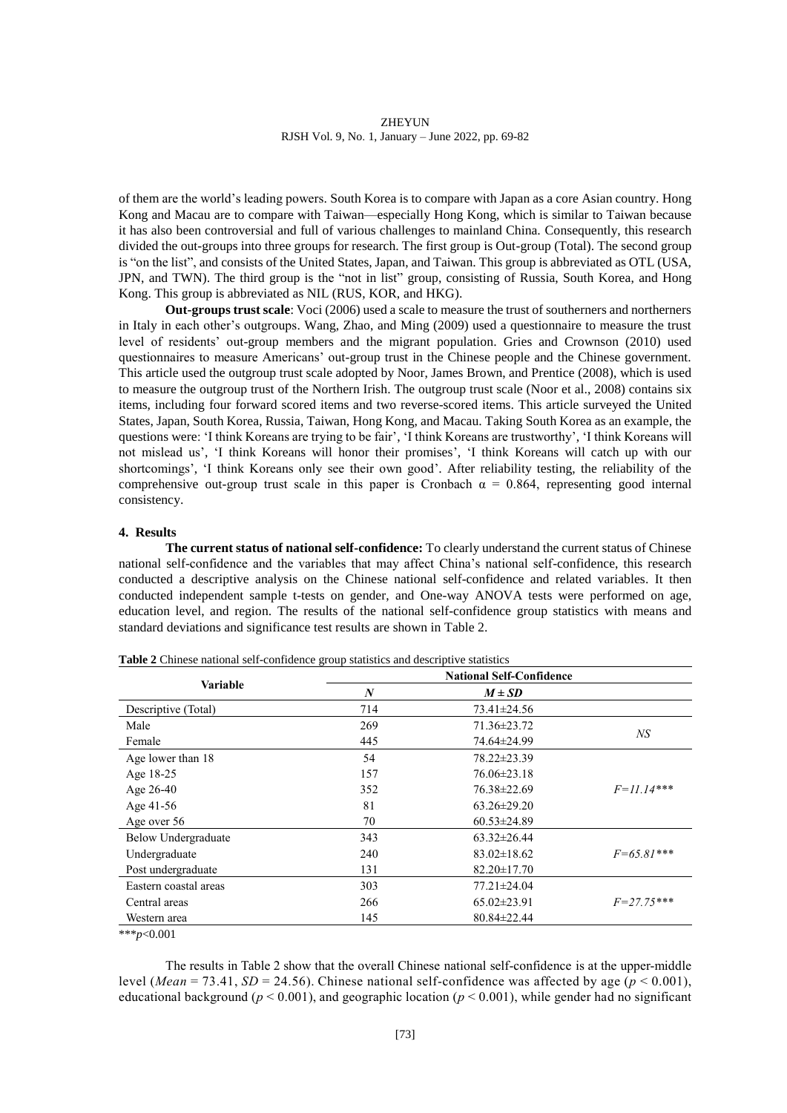of them are the world's leading powers. South Korea is to compare with Japan as a core Asian country. Hong Kong and Macau are to compare with Taiwan—especially Hong Kong, which is similar to Taiwan because it has also been controversial and full of various challenges to mainland China. Consequently, this research divided the out-groups into three groups for research. The first group is Out-group (Total). The second group is "on the list", and consists of the United States, Japan, and Taiwan. This group is abbreviated as OTL (USA, JPN, and TWN). The third group is the "not in list" group, consisting of Russia, South Korea, and Hong Kong. This group is abbreviated as NIL (RUS, KOR, and HKG).

**Out-groups trust scale**: Voci (2006) used a scale to measure the trust of southerners and northerners in Italy in each other's outgroups. Wang, Zhao, and Ming (2009) used a questionnaire to measure the trust level of residents' out-group members and the migrant population. Gries and Crownson (2010) used questionnaires to measure Americans' out-group trust in the Chinese people and the Chinese government. This article used the outgroup trust scale adopted by Noor, James Brown, and Prentice (2008), which is used to measure the outgroup trust of the Northern Irish. The outgroup trust scale (Noor et al., 2008) contains six items, including four forward scored items and two reverse-scored items. This article surveyed the United States, Japan, South Korea, Russia, Taiwan, Hong Kong, and Macau. Taking South Korea as an example, the questions were: 'I think Koreans are trying to be fair', 'I think Koreans are trustworthy', 'I think Koreans will not mislead us', 'I think Koreans will honor their promises', 'I think Koreans will catch up with our shortcomings', 'I think Koreans only see their own good'. After reliability testing, the reliability of the comprehensive out-group trust scale in this paper is Cronbach  $\alpha = 0.864$ , representing good internal consistency.

# **4. Results**

**The current status of national self-confidence:** To clearly understand the current status of Chinese national self-confidence and the variables that may affect China's national self-confidence, this research conducted a descriptive analysis on the Chinese national self-confidence and related variables. It then conducted independent sample t-tests on gender, and One-way ANOVA tests were performed on age, education level, and region. The results of the national self-confidence group statistics with means and standard deviations and significance test results are shown in Table 2.

|                       |                  | <b>National Self-Confidence</b> |                |
|-----------------------|------------------|---------------------------------|----------------|
| <b>Variable</b>       | $\boldsymbol{N}$ | $M \pm SD$                      |                |
| Descriptive (Total)   | 714              | 73.41±24.56                     |                |
| Male                  | 269              | 71.36±23.72                     |                |
| Female                | 445              | 74.64±24.99                     | NS             |
| Age lower than 18     | 54               | 78.22±23.39                     |                |
| Age 18-25             | 157              | 76.06±23.18                     |                |
| Age 26-40             | 352              | 76.38±22.69                     | $F=$ 11.14***  |
| Age 41-56             | 81               | $63.26 \pm 29.20$               |                |
| Age over 56           | 70               | $60.53 \pm 24.89$               |                |
| Below Undergraduate   | 343              | $63.32 \pm 26.44$               |                |
| Undergraduate         | 240              | $83.02 \pm 18.62$               | $F=65.81***$   |
| Post undergraduate    | 131              | $82.20 \pm 17.70$               |                |
| Eastern coastal areas | 303              | 77.21±24.04                     |                |
| Central areas         | 266              | $65.02 \pm 23.91$               | $F = 27.75***$ |
| Western area          | 145              | $80.84 \pm 22.44$               |                |

**Table 2** Chinese national self-confidence group statistics and descriptive statistics

\*\*\**p*<0.001

The results in Table 2 show that the overall Chinese national self-confidence is at the upper-middle level (*Mean* = 73.41, *SD* = 24.56). Chinese national self-confidence was affected by age ( $p < 0.001$ ), educational background ( $p < 0.001$ ), and geographic location ( $p < 0.001$ ), while gender had no significant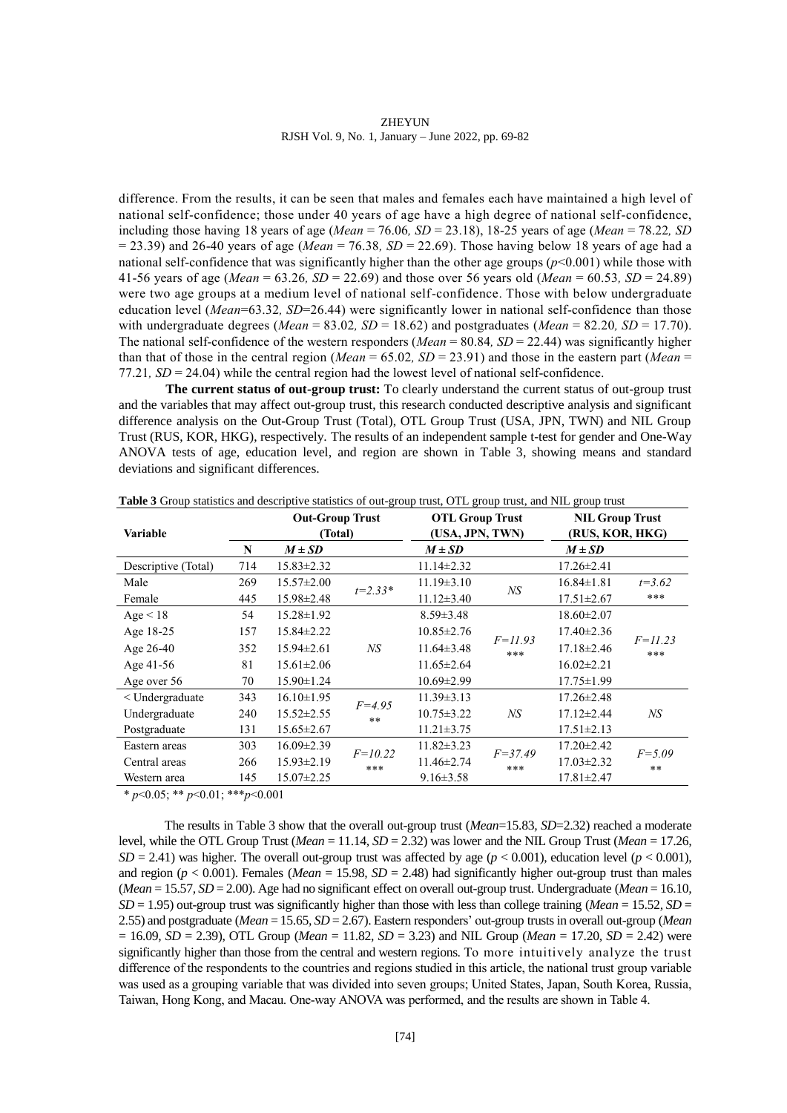difference. From the results, it can be seen that males and females each have maintained a high level of national self-confidence; those under 40 years of age have a high degree of national self-confidence, including those having 18 years of age (*Mean* = 76.06*, SD* = 23.18), 18-25 years of age (*Mean* = 78.22*, SD*   $= 23.39$ ) and 26-40 years of age (*Mean*  $= 76.38$ , *SD*  $= 22.69$ ). Those having below 18 years of age had a national self-confidence that was significantly higher than the other age groups (*p*<0.001) while those with 41-56 years of age (*Mean* = 63.26*, SD* = 22.69) and those over 56 years old (*Mean* = 60.53*, SD* = 24.89) were two age groups at a medium level of national self-confidence. Those with below undergraduate education level (*Mean*=63.32*, SD*=26.44) were significantly lower in national self-confidence than those with undergraduate degrees (*Mean* = 83.02*, SD* = 18.62) and postgraduates (*Mean* = 82.20*, SD* = 17.70). The national self-confidence of the western responders (*Mean* = 80.84, *SD* = 22.44) was significantly higher than that of those in the central region (*Mean* = 65.02, *SD* = 23.91) and those in the eastern part (*Mean* = 77.21*, SD* = 24.04) while the central region had the lowest level of national self-confidence.

**The current status of out-group trust:** To clearly understand the current status of out-group trust and the variables that may affect out-group trust, this research conducted descriptive analysis and significant difference analysis on the Out-Group Trust (Total), OTL Group Trust (USA, JPN, TWN) and NIL Group Trust (RUS, KOR, HKG), respectively. The results of an independent sample t-test for gender and One-Way ANOVA tests of age, education level, and region are shown in Table 3, showing means and standard deviations and significant differences.

| Variable            |     | <b>Out-Group Trust</b><br>(Total) |                  | <b>OTL Group Trust</b><br>(USA, JPN, TWN) |                    | <b>NIL Group Trust</b><br>(RUS, KOR, HKG) |                    |
|---------------------|-----|-----------------------------------|------------------|-------------------------------------------|--------------------|-------------------------------------------|--------------------|
|                     | N   | $M \pm SD$                        |                  | $M \pm SD$                                |                    | $M \pm SD$                                |                    |
| Descriptive (Total) | 714 | $15.83 \pm 2.32$                  |                  | $11.14 \pm 2.32$                          |                    | $17.26 \pm 2.41$                          |                    |
| Male                | 269 | $15.57 \pm 2.00$                  | $t = 2.33*$      | $11.19 \pm 3.10$                          |                    | $16.84 \pm 1.81$                          | $t = 3.62$         |
| Female              | 445 | $15.98 \pm 2.48$                  |                  | $11.12 \pm 3.40$                          | NS                 | $17.51 \pm 2.67$                          | ***                |
| Age < 18            | 54  | $15.28 \pm 1.92$                  |                  | $8.59 \pm 3.48$                           |                    | $18.60 \pm 2.07$                          |                    |
| Age 18-25           | 157 | $15.84 \pm 2.22$                  |                  | $10.85 \pm 2.76$                          |                    | $17.40 \pm 2.36$                          |                    |
| Age $26-40$         | 352 | $15.94 \pm 2.61$                  | NS               | $11.64\pm3.48$                            | $F = 11.93$<br>*** | $17.18 \pm 2.46$                          | $F = 11.23$<br>*** |
| Age 41-56           | 81  | $15.61 \pm 2.06$                  |                  | $11.65 \pm 2.64$                          |                    | $16.02 \pm 2.21$                          |                    |
| Age over 56         | 70  | $15.90 \pm 1.24$                  |                  | $10.69 \pm 2.99$                          |                    | $17.75 \pm 1.99$                          |                    |
| $<$ Undergraduate   | 343 | $16.10 \pm 1.95$                  |                  | $11.39 \pm 3.13$                          |                    | $17.26 \pm 2.48$                          |                    |
| Undergraduate       | 240 | $15.52 \pm 2.55$                  | $F = 4.95$<br>** | $10.75 \pm 3.22$                          | NS                 | $17.12 \pm 2.44$                          | NS                 |
| Postgraduate        | 131 | $15.65 \pm 2.67$                  |                  | $11.21 \pm 3.75$                          |                    | $17.51 \pm 2.13$                          |                    |
| Eastern areas       | 303 | $16.09 \pm 2.39$                  | $F=10.22$        | $11.82 \pm 3.23$                          | $F = 37.49$        | $17.20 \pm 2.42$                          | $F = 5.09$         |
| Central areas       | 266 | $15.93 \pm 2.19$                  | ***              | $11.46 \pm 2.74$                          | ***                | $17.03 \pm 2.32$                          | $***$              |
| Western area        | 145 | $15.07 \pm 2.25$                  |                  | $9.16 \pm 3.58$                           |                    | $17.81 \pm 2.47$                          |                    |

**Table 3** Group statistics and descriptive statistics of out-group trust, OTL group trust, and NIL group trust

\* *p*<0.05; \*\* *p*<0.01; \*\*\**p*<0.001

The results in Table 3 show that the overall out-group trust (*Mean*=15.83*, SD*=2.32) reached a moderate level, while the OTL Group Trust (*Mean* = 11.14*, SD* = 2.32) was lower and the NIL Group Trust (*Mean* = 17.26*,*   $SD = 2.41$ ) was higher. The overall out-group trust was affected by age ( $p < 0.001$ ), education level ( $p < 0.001$ ), and region ( $p < 0.001$ ). Females (*Mean* = 15.98*, SD* = 2.48) had significantly higher out-group trust than males (*Mean* = 15.57*, SD* = 2.00). Age had no significant effect on overall out-group trust. Undergraduate (*Mean* = 16.10*,*   $SD = 1.95$ ) out-group trust was significantly higher than those with less than college training (*Mean* = 15.52*, SD* = 2.55) and postgraduate (*Mean* = 15.65*, SD* = 2.67). Eastern responders' out-group trusts in overall out-group (*Mean*  = 16.09*, SD* = 2.39), OTL Group (*Mean* = 11.82*, SD* = 3.23) and NIL Group (*Mean* = 17.20*, SD* = 2.42) were significantly higher than those from the central and western regions. To more intuitively analyze the trust difference of the respondents to the countries and regions studied in this article, the national trust group variable was used as a grouping variable that was divided into seven groups; United States, Japan, South Korea, Russia, Taiwan, Hong Kong, and Macau. One-way ANOVA was performed, and the results are shown in Table 4.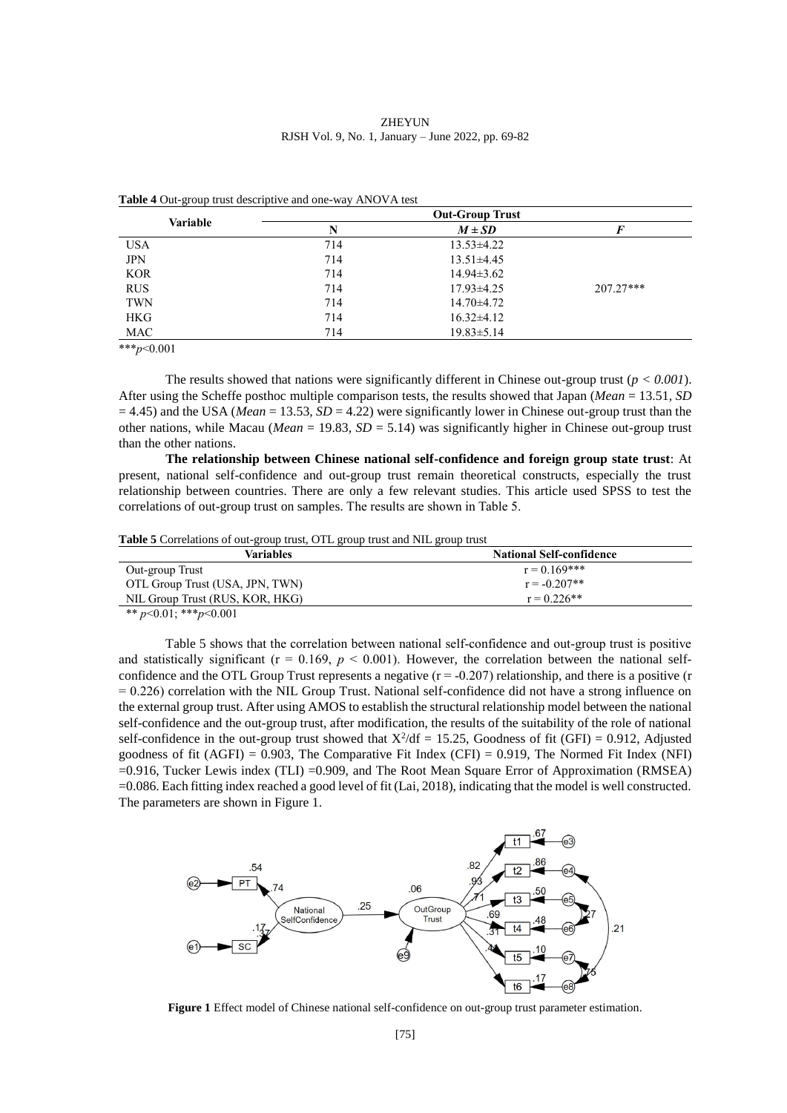|            | <b>Out-Group Trust</b> |                  |             |  |
|------------|------------------------|------------------|-------------|--|
| Variable   | N                      | $M \pm SD$       |             |  |
| <b>USA</b> | 714                    | $13.53\pm4.22$   |             |  |
| <b>JPN</b> | 714                    | $13.51 \pm 4.45$ |             |  |
| <b>KOR</b> | 714                    | $14.94 \pm 3.62$ |             |  |
| <b>RUS</b> | 714                    | $17.93 \pm 4.25$ | $207.27***$ |  |
| TWN        | 714                    | 14.70±4.72       |             |  |
| <b>HKG</b> | 714                    | $16.32\pm4.12$   |             |  |
| MAC        | 714                    | $19.83 \pm 5.14$ |             |  |

**Table 4** Out-group trust descriptive and one-way ANOVA test

\*\*\**p*<0.001

The results showed that nations were significantly different in Chinese out-group trust  $(p < 0.001)$ . After using the Scheffe posthoc multiple comparison tests, the results showed that Japan (*Mean* = 13.51*, SD*   $= 4.45$ ) and the USA (*Mean* = 13.53, *SD* = 4.22) were significantly lower in Chinese out-group trust than the other nations, while Macau (*Mean* = 19.83*, SD* = 5.14) was significantly higher in Chinese out-group trust than the other nations.

**The relationship between Chinese national self-confidence and foreign group state trust**: At present, national self-confidence and out-group trust remain theoretical constructs, especially the trust relationship between countries. There are only a few relevant studies. This article used SPSS to test the correlations of out-group trust on samples. The results are shown in Table 5.

**Table 5** Correlations of out-group trust, OTL group trust and NIL group trust

| Variables                       | <b>National Self-confidence</b> |
|---------------------------------|---------------------------------|
| Out-group Trust                 | $r = 0.169$ ***                 |
| OTL Group Trust (USA, JPN, TWN) | $r = -0.207**$                  |
| NIL Group Trust (RUS, KOR, HKG) | $r = 0.226**$                   |
| ** $n<0$ 01 · *** $n<0$ 001     |                                 |

 $\binom{p}{0.01}$ ; \*\*\* $p$ <0.00

Table 5 shows that the correlation between national self-confidence and out-group trust is positive and statistically significant ( $r = 0.169$ ,  $p < 0.001$ ). However, the correlation between the national selfconfidence and the OTL Group Trust represents a negative  $(r = -0.207)$  relationship, and there is a positive  $(r = 0.207)$  $= 0.226$ ) correlation with the NIL Group Trust. National self-confidence did not have a strong influence on the external group trust. After using AMOS to establish the structural relationship model between the national self-confidence and the out-group trust, after modification, the results of the suitability of the role of national self-confidence in the out-group trust showed that  $X^2/df = 15.25$ , Goodness of fit (GFI) = 0.912, Adjusted goodness of fit  $(AGFI) = 0.903$ , The Comparative Fit Index (CFI) = 0.919, The Normed Fit Index (NFI) =0.916, Tucker Lewis index (TLI) =0.909, and The Root Mean Square Error of Approximation (RMSEA) =0.086. Each fitting index reached a good level of fit (Lai, 2018), indicating that the model is well constructed. The parameters are shown in Figure 1.



**Figure 1** Effect model of Chinese national self-confidence on out-group trust parameter estimation.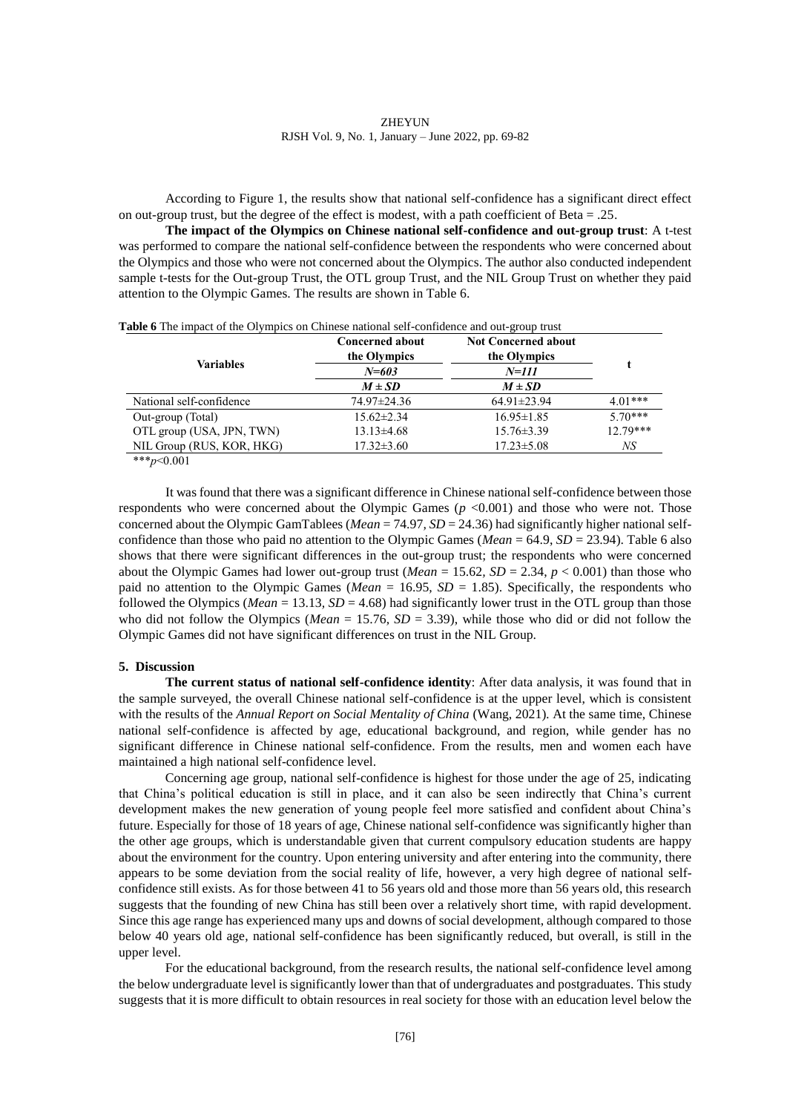According to Figure 1, the results show that national self-confidence has a significant direct effect on out-group trust, but the degree of the effect is modest, with a path coefficient of Beta = .25.

**The impact of the Olympics on Chinese national self-confidence and out-group trust**: A t-test was performed to compare the national self-confidence between the respondents who were concerned about the Olympics and those who were not concerned about the Olympics. The author also conducted independent sample t-tests for the Out-group Trust, the OTL group Trust, and the NIL Group Trust on whether they paid attention to the Olympic Games. The results are shown in Table 6.

| Table 6 The impact of the Olympics on Chinese national self-confidence and out-group trust | <b>Concerned about</b><br>the Olympics | <b>Not Concerned about</b><br>the Olympics |            |
|--------------------------------------------------------------------------------------------|----------------------------------------|--------------------------------------------|------------|
| Variables                                                                                  | $N = 603$                              | $N = 111$                                  |            |
|                                                                                            | $M \pm SD$                             | $M \pm SD$                                 |            |
| National self-confidence                                                                   | 74.97±24.36                            | $64.91 \pm 23.94$                          | $4.01***$  |
| Out-group (Total)                                                                          | $15.62 \pm 2.34$                       | $16.95 \pm 1.85$                           | $5.70***$  |
| OTL group (USA, JPN, TWN)                                                                  | $13.13\pm4.68$                         | $15.76 \pm 3.39$                           | $12.79***$ |
| NIL Group (RUS, KOR, HKG)                                                                  | $17.32 \pm 3.60$                       | $17.23 \pm 5.08$                           | NS         |

\*\*\**p*<0.001

It was found that there was a significant difference in Chinese national self-confidence between those respondents who were concerned about the Olympic Games  $(p \le 0.001)$  and those who were not. Those concerned about the Olympic GamTablees (*Mean* = 74.97*, SD* = 24.36) had significantly higher national selfconfidence than those who paid no attention to the Olympic Games (*Mean* = 64.9, *SD* = 23.94). Table 6 also shows that there were significant differences in the out-group trust; the respondents who were concerned about the Olympic Games had lower out-group trust (*Mean* = 15.62*, SD* = 2.34, *p* < 0.001) than those who paid no attention to the Olympic Games (*Mean* = 16.95*, SD* = 1.85). Specifically, the respondents who followed the Olympics (*Mean* = 13.13*, SD* = 4.68) had significantly lower trust in the OTL group than those who did not follow the Olympics (*Mean* = 15.76*, SD* = 3.39), while those who did or did not follow the Olympic Games did not have significant differences on trust in the NIL Group.

#### **5. Discussion**

**The current status of national self-confidence identity**: After data analysis, it was found that in the sample surveyed, the overall Chinese national self-confidence is at the upper level, which is consistent with the results of the *Annual Report on Social Mentality of China* (Wang, 2021)*.* At the same time, Chinese national self-confidence is affected by age, educational background, and region, while gender has no significant difference in Chinese national self-confidence. From the results, men and women each have maintained a high national self-confidence level.

Concerning age group, national self-confidence is highest for those under the age of 25, indicating that China's political education is still in place, and it can also be seen indirectly that China's current development makes the new generation of young people feel more satisfied and confident about China's future. Especially for those of 18 years of age, Chinese national self-confidence was significantly higher than the other age groups, which is understandable given that current compulsory education students are happy about the environment for the country. Upon entering university and after entering into the community, there appears to be some deviation from the social reality of life, however, a very high degree of national selfconfidence still exists. As for those between 41 to 56 years old and those more than 56 years old, this research suggests that the founding of new China has still been over a relatively short time, with rapid development. Since this age range has experienced many ups and downs of social development, although compared to those below 40 years old age, national self-confidence has been significantly reduced, but overall, is still in the upper level.

For the educational background, from the research results, the national self-confidence level among the below undergraduate level is significantly lower than that of undergraduates and postgraduates. This study suggests that it is more difficult to obtain resources in real society for those with an education level below the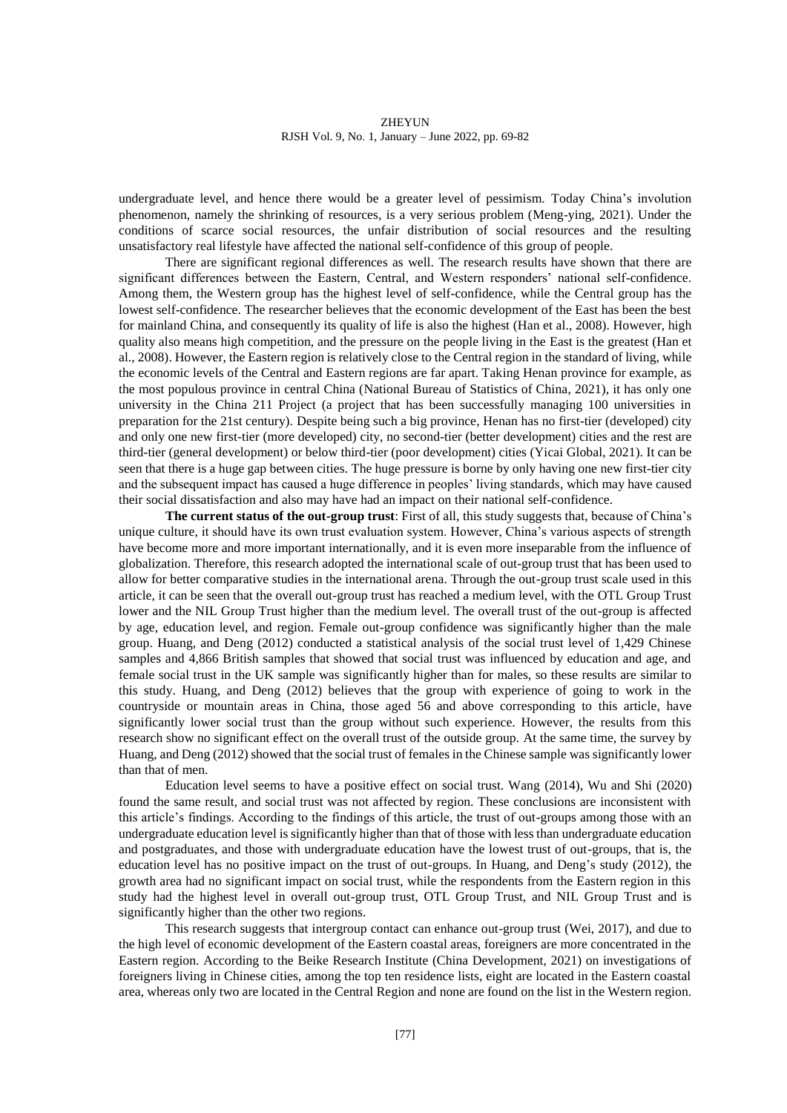undergraduate level, and hence there would be a greater level of pessimism. Today China's involution phenomenon, namely the shrinking of resources, is a very serious problem (Meng-ying, 2021). Under the conditions of scarce social resources, the unfair distribution of social resources and the resulting unsatisfactory real lifestyle have affected the national self-confidence of this group of people.

There are significant regional differences as well. The research results have shown that there are significant differences between the Eastern, Central, and Western responders' national self-confidence. Among them, the Western group has the highest level of self-confidence, while the Central group has the lowest self-confidence. The researcher believes that the economic development of the East has been the best for mainland China, and consequently its quality of life is also the highest (Han et al., 2008). However, high quality also means high competition, and the pressure on the people living in the East is the greatest (Han et al., 2008). However, the Eastern region is relatively close to the Central region in the standard of living, while the economic levels of the Central and Eastern regions are far apart. Taking Henan province for example, as the most populous province in central China (National Bureau of Statistics of China, 2021), it has only one university in the China 211 Project (a project that has been successfully managing 100 universities in preparation for the 21st century). Despite being such a big province, Henan has no first-tier (developed) city and only one new first-tier (more developed) city, no second-tier (better development) cities and the rest are third-tier (general development) or below third-tier (poor development) cities (Yicai Global, 2021). It can be seen that there is a huge gap between cities. The huge pressure is borne by only having one new first-tier city and the subsequent impact has caused a huge difference in peoples' living standards, which may have caused their social dissatisfaction and also may have had an impact on their national self-confidence.

**The current status of the out-group trust**: First of all, this study suggests that, because of China's unique culture, it should have its own trust evaluation system. However, China's various aspects of strength have become more and more important internationally, and it is even more inseparable from the influence of globalization. Therefore, this research adopted the international scale of out-group trust that has been used to allow for better comparative studies in the international arena. Through the out-group trust scale used in this article, it can be seen that the overall out-group trust has reached a medium level, with the OTL Group Trust lower and the NIL Group Trust higher than the medium level. The overall trust of the out-group is affected by age, education level, and region. Female out-group confidence was significantly higher than the male group. Huang, and Deng (2012) conducted a statistical analysis of the social trust level of 1,429 Chinese samples and 4,866 British samples that showed that social trust was influenced by education and age, and female social trust in the UK sample was significantly higher than for males, so these results are similar to this study. Huang, and Deng (2012) believes that the group with experience of going to work in the countryside or mountain areas in China, those aged 56 and above corresponding to this article, have significantly lower social trust than the group without such experience. However, the results from this research show no significant effect on the overall trust of the outside group. At the same time, the survey by Huang, and Deng (2012) showed that the social trust of females in the Chinese sample was significantly lower than that of men.

Education level seems to have a positive effect on social trust. Wang (2014), Wu and Shi (2020) found the same result, and social trust was not affected by region. These conclusions are inconsistent with this article's findings. According to the findings of this article, the trust of out-groups among those with an undergraduate education level is significantly higher than that of those with less than undergraduate education and postgraduates, and those with undergraduate education have the lowest trust of out-groups, that is, the education level has no positive impact on the trust of out-groups. In Huang, and Deng's study (2012), the growth area had no significant impact on social trust, while the respondents from the Eastern region in this study had the highest level in overall out-group trust, OTL Group Trust, and NIL Group Trust and is significantly higher than the other two regions.

This research suggests that intergroup contact can enhance out-group trust (Wei, 2017), and due to the high level of economic development of the Eastern coastal areas, foreigners are more concentrated in the Eastern region. According to the Beike Research Institute (China Development, 2021) on investigations of foreigners living in Chinese cities, among the top ten residence lists, eight are located in the Eastern coastal area, whereas only two are located in the Central Region and none are found on the list in the Western region.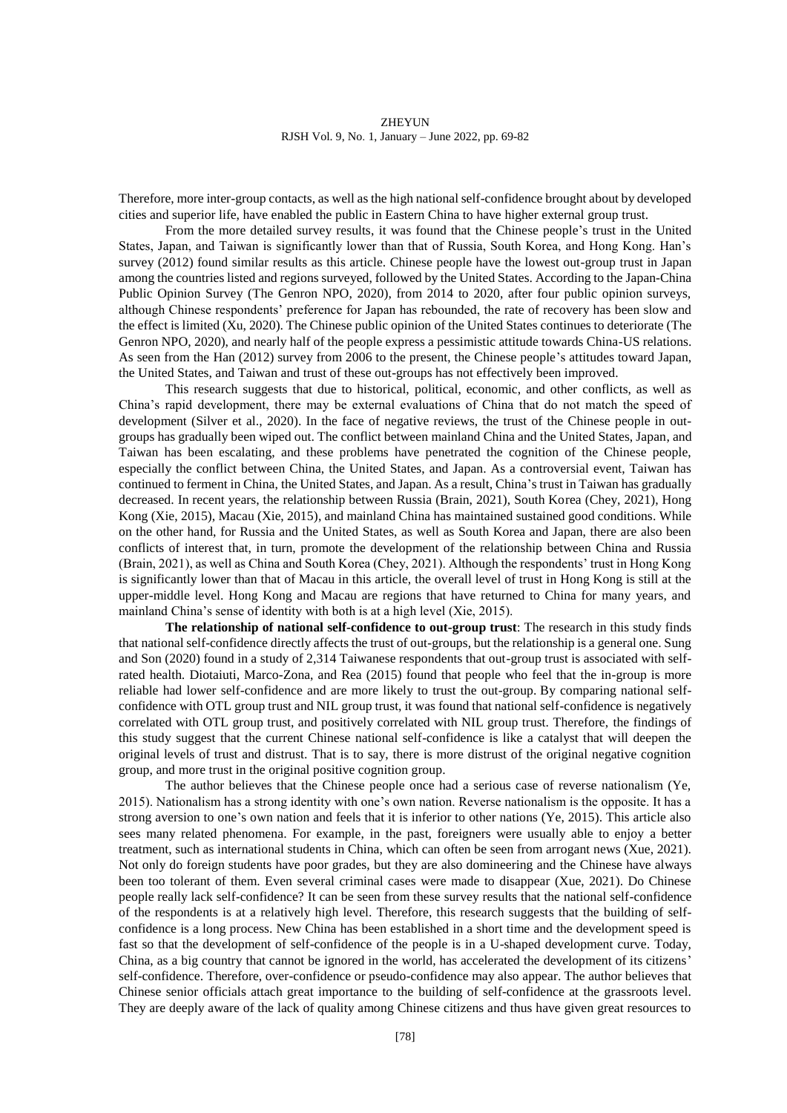Therefore, more inter-group contacts, as well as the high national self-confidence brought about by developed cities and superior life, have enabled the public in Eastern China to have higher external group trust.

From the more detailed survey results, it was found that the Chinese people's trust in the United States, Japan, and Taiwan is significantly lower than that of Russia, South Korea, and Hong Kong. Han's survey (2012) found similar results as this article. Chinese people have the lowest out-group trust in Japan among the countries listed and regions surveyed, followed by the United States. According to the Japan-China Public Opinion Survey (The Genron NPO, 2020), from 2014 to 2020, after four public opinion surveys, although Chinese respondents' preference for Japan has rebounded, the rate of recovery has been slow and the effect is limited (Xu, 2020). The Chinese public opinion of the United States continues to deteriorate (The Genron NPO, 2020), and nearly half of the people express a pessimistic attitude towards China-US relations. As seen from the Han (2012) survey from 2006 to the present, the Chinese people's attitudes toward Japan, the United States, and Taiwan and trust of these out-groups has not effectively been improved.

This research suggests that due to historical, political, economic, and other conflicts, as well as China's rapid development, there may be external evaluations of China that do not match the speed of development (Silver et al., 2020). In the face of negative reviews, the trust of the Chinese people in outgroups has gradually been wiped out. The conflict between mainland China and the United States, Japan, and Taiwan has been escalating, and these problems have penetrated the cognition of the Chinese people, especially the conflict between China, the United States, and Japan. As a controversial event, Taiwan has continued to ferment in China, the United States, and Japan. As a result, China's trust in Taiwan has gradually decreased. In recent years, the relationship between Russia (Brain, 2021), South Korea (Chey, 2021), Hong Kong (Xie, 2015), Macau (Xie, 2015), and mainland China has maintained sustained good conditions. While on the other hand, for Russia and the United States, as well as South Korea and Japan, there are also been conflicts of interest that, in turn, promote the development of the relationship between China and Russia (Brain, 2021), as well as China and South Korea (Chey, 2021). Although the respondents' trust in Hong Kong is significantly lower than that of Macau in this article, the overall level of trust in Hong Kong is still at the upper-middle level. Hong Kong and Macau are regions that have returned to China for many years, and mainland China's sense of identity with both is at a high level (Xie, 2015).

**The relationship of national self-confidence to out-group trust**: The research in this study finds that national self-confidence directly affects the trust of out-groups, but the relationship is a general one. Sung and Son (2020) found in a study of 2,314 Taiwanese respondents that out-group trust is associated with selfrated health. Diotaiuti, Marco-Zona, and Rea (2015) found that people who feel that the in-group is more reliable had lower self-confidence and are more likely to trust the out-group. By comparing national selfconfidence with OTL group trust and NIL group trust, it was found that national self-confidence is negatively correlated with OTL group trust, and positively correlated with NIL group trust. Therefore, the findings of this study suggest that the current Chinese national self-confidence is like a catalyst that will deepen the original levels of trust and distrust. That is to say, there is more distrust of the original negative cognition group, and more trust in the original positive cognition group.

The author believes that the Chinese people once had a serious case of reverse nationalism (Ye, 2015). Nationalism has a strong identity with one's own nation. Reverse nationalism is the opposite. It has a strong aversion to one's own nation and feels that it is inferior to other nations (Ye, 2015). This article also sees many related phenomena. For example, in the past, foreigners were usually able to enjoy a better treatment, such as international students in China, which can often be seen from arrogant news (Xue, 2021). Not only do foreign students have poor grades, but they are also domineering and the Chinese have always been too tolerant of them. Even several criminal cases were made to disappear (Xue, 2021). Do Chinese people really lack self-confidence? It can be seen from these survey results that the national self-confidence of the respondents is at a relatively high level. Therefore, this research suggests that the building of selfconfidence is a long process. New China has been established in a short time and the development speed is fast so that the development of self-confidence of the people is in a U-shaped development curve. Today, China, as a big country that cannot be ignored in the world, has accelerated the development of its citizens' self-confidence. Therefore, over-confidence or pseudo-confidence may also appear. The author believes that Chinese senior officials attach great importance to the building of self-confidence at the grassroots level. They are deeply aware of the lack of quality among Chinese citizens and thus have given great resources to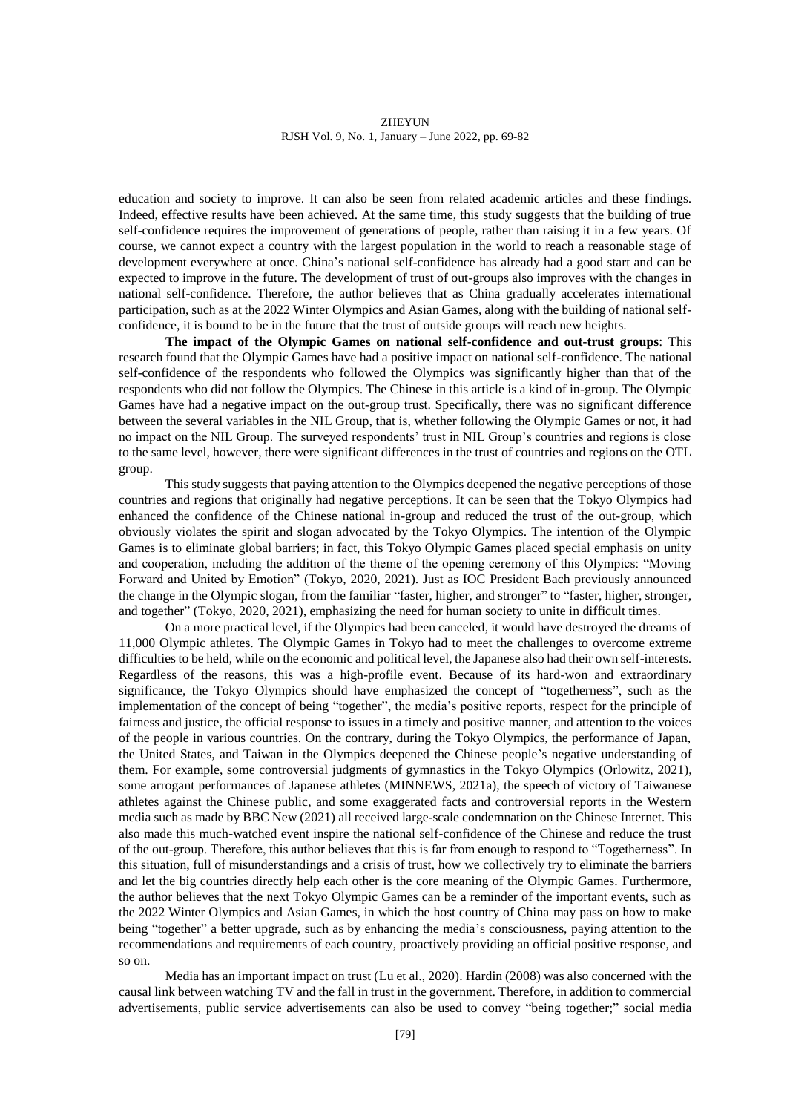education and society to improve. It can also be seen from related academic articles and these findings. Indeed, effective results have been achieved. At the same time, this study suggests that the building of true self-confidence requires the improvement of generations of people, rather than raising it in a few years. Of course, we cannot expect a country with the largest population in the world to reach a reasonable stage of development everywhere at once. China's national self-confidence has already had a good start and can be expected to improve in the future. The development of trust of out-groups also improves with the changes in national self-confidence. Therefore, the author believes that as China gradually accelerates international participation, such as at the 2022 Winter Olympics and Asian Games, along with the building of national selfconfidence, it is bound to be in the future that the trust of outside groups will reach new heights.

**The impact of the Olympic Games on national self-confidence and out-trust groups**: This research found that the Olympic Games have had a positive impact on national self-confidence. The national self-confidence of the respondents who followed the Olympics was significantly higher than that of the respondents who did not follow the Olympics. The Chinese in this article is a kind of in-group. The Olympic Games have had a negative impact on the out-group trust. Specifically, there was no significant difference between the several variables in the NIL Group, that is, whether following the Olympic Games or not, it had no impact on the NIL Group. The surveyed respondents' trust in NIL Group's countries and regions is close to the same level, however, there were significant differences in the trust of countries and regions on the OTL group.

This study suggests that paying attention to the Olympics deepened the negative perceptions of those countries and regions that originally had negative perceptions. It can be seen that the Tokyo Olympics had enhanced the confidence of the Chinese national in-group and reduced the trust of the out-group, which obviously violates the spirit and slogan advocated by the Tokyo Olympics. The intention of the Olympic Games is to eliminate global barriers; in fact, this Tokyo Olympic Games placed special emphasis on unity and cooperation, including the addition of the theme of the opening ceremony of this Olympics: "Moving Forward and United by Emotion" (Tokyo, 2020, 2021). Just as IOC President Bach previously announced the change in the Olympic slogan, from the familiar "faster, higher, and stronger" to "faster, higher, stronger, and together" (Tokyo, 2020, 2021), emphasizing the need for human society to unite in difficult times.

On a more practical level, if the Olympics had been canceled, it would have destroyed the dreams of 11,000 Olympic athletes. The Olympic Games in Tokyo had to meet the challenges to overcome extreme difficulties to be held, while on the economic and political level, the Japanese also had their own self-interests. Regardless of the reasons, this was a high-profile event. Because of its hard-won and extraordinary significance, the Tokyo Olympics should have emphasized the concept of "togetherness", such as the implementation of the concept of being "together", the media's positive reports, respect for the principle of fairness and justice, the official response to issues in a timely and positive manner, and attention to the voices of the people in various countries. On the contrary, during the Tokyo Olympics, the performance of Japan, the United States, and Taiwan in the Olympics deepened the Chinese people's negative understanding of them. For example, some controversial judgments of gymnastics in the Tokyo Olympics (Orlowitz, 2021), some arrogant performances of Japanese athletes (MINNEWS, 2021a), the speech of victory of Taiwanese athletes against the Chinese public, and some exaggerated facts and controversial reports in the Western media such as made by BBC New (2021) all received large-scale condemnation on the Chinese Internet. This also made this much-watched event inspire the national self-confidence of the Chinese and reduce the trust of the out-group. Therefore, this author believes that this is far from enough to respond to "Togetherness". In this situation, full of misunderstandings and a crisis of trust, how we collectively try to eliminate the barriers and let the big countries directly help each other is the core meaning of the Olympic Games. Furthermore, the author believes that the next Tokyo Olympic Games can be a reminder of the important events, such as the 2022 Winter Olympics and Asian Games, in which the host country of China may pass on how to make being "together" a better upgrade, such as by enhancing the media's consciousness, paying attention to the recommendations and requirements of each country, proactively providing an official positive response, and so on.

Media has an important impact on trust (Lu et al., 2020). Hardin (2008) was also concerned with the causal link between watching TV and the fall in trust in the government. Therefore, in addition to commercial advertisements, public service advertisements can also be used to convey "being together;" social media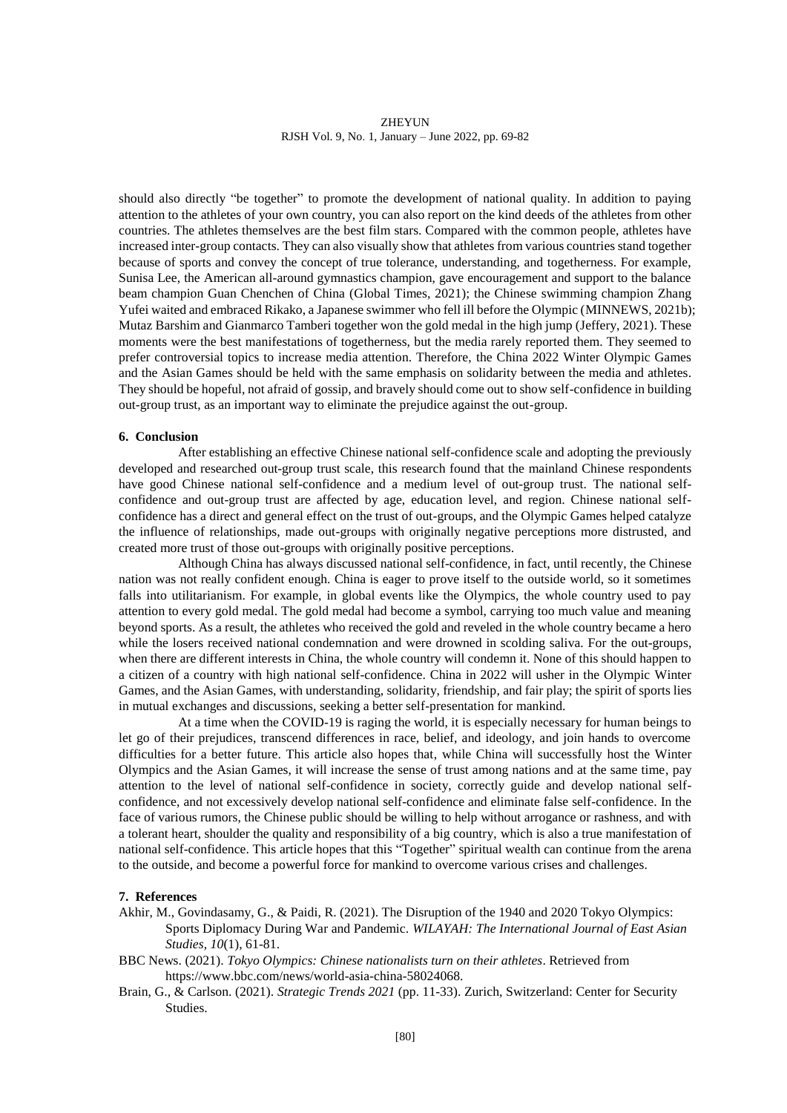should also directly "be together" to promote the development of national quality. In addition to paying attention to the athletes of your own country, you can also report on the kind deeds of the athletes from other countries. The athletes themselves are the best film stars. Compared with the common people, athletes have increased inter-group contacts. They can also visually show that athletes from various countries stand together because of sports and convey the concept of true tolerance, understanding, and togetherness. For example, Sunisa Lee, the American all-around gymnastics champion, gave encouragement and support to the balance beam champion Guan Chenchen of China (Global Times, 2021); the Chinese swimming champion Zhang Yufei waited and embraced Rikako, a Japanese swimmer who fell ill before the Olympic (MINNEWS, 2021b); Mutaz Barshim and Gianmarco Tamberi together won the gold medal in the high jump (Jeffery, 2021). These moments were the best manifestations of togetherness, but the media rarely reported them. They seemed to prefer controversial topics to increase media attention. Therefore, the China 2022 Winter Olympic Games and the Asian Games should be held with the same emphasis on solidarity between the media and athletes. They should be hopeful, not afraid of gossip, and bravely should come out to show self-confidence in building out-group trust, as an important way to eliminate the prejudice against the out-group.

# **6. Conclusion**

After establishing an effective Chinese national self-confidence scale and adopting the previously developed and researched out-group trust scale, this research found that the mainland Chinese respondents have good Chinese national self-confidence and a medium level of out-group trust. The national selfconfidence and out-group trust are affected by age, education level, and region. Chinese national selfconfidence has a direct and general effect on the trust of out-groups, and the Olympic Games helped catalyze the influence of relationships, made out-groups with originally negative perceptions more distrusted, and created more trust of those out-groups with originally positive perceptions.

Although China has always discussed national self-confidence, in fact, until recently, the Chinese nation was not really confident enough. China is eager to prove itself to the outside world, so it sometimes falls into utilitarianism. For example, in global events like the Olympics, the whole country used to pay attention to every gold medal. The gold medal had become a symbol, carrying too much value and meaning beyond sports. As a result, the athletes who received the gold and reveled in the whole country became a hero while the losers received national condemnation and were drowned in scolding saliva. For the out-groups, when there are different interests in China, the whole country will condemn it. None of this should happen to a citizen of a country with high national self-confidence. China in 2022 will usher in the Olympic Winter Games, and the Asian Games, with understanding, solidarity, friendship, and fair play; the spirit of sports lies in mutual exchanges and discussions, seeking a better self-presentation for mankind.

At a time when the COVID-19 is raging the world, it is especially necessary for human beings to let go of their prejudices, transcend differences in race, belief, and ideology, and join hands to overcome difficulties for a better future. This article also hopes that, while China will successfully host the Winter Olympics and the Asian Games, it will increase the sense of trust among nations and at the same time, pay attention to the level of national self-confidence in society, correctly guide and develop national selfconfidence, and not excessively develop national self-confidence and eliminate false self-confidence. In the face of various rumors, the Chinese public should be willing to help without arrogance or rashness, and with a tolerant heart, shoulder the quality and responsibility of a big country, which is also a true manifestation of national self-confidence. This article hopes that this "Together" spiritual wealth can continue from the arena to the outside, and become a powerful force for mankind to overcome various crises and challenges.

# **7. References**

- Akhir, M., Govindasamy, G., & Paidi, R. (2021). The Disruption of the 1940 and 2020 Tokyo Olympics: Sports Diplomacy During War and Pandemic. *WILAYAH: The International Journal of East Asian Studies*, *10*(1), 61-81.
- BBC News. (2021). *Tokyo Olympics: Chinese nationalists turn on their athletes*. Retrieved from https://www.bbc.com/news/world-asia-china-58024068.
- Brain, G., & Carlson. (2021). *Strategic Trends 2021* (pp. 11-33). Zurich, Switzerland: Center for Security Studies.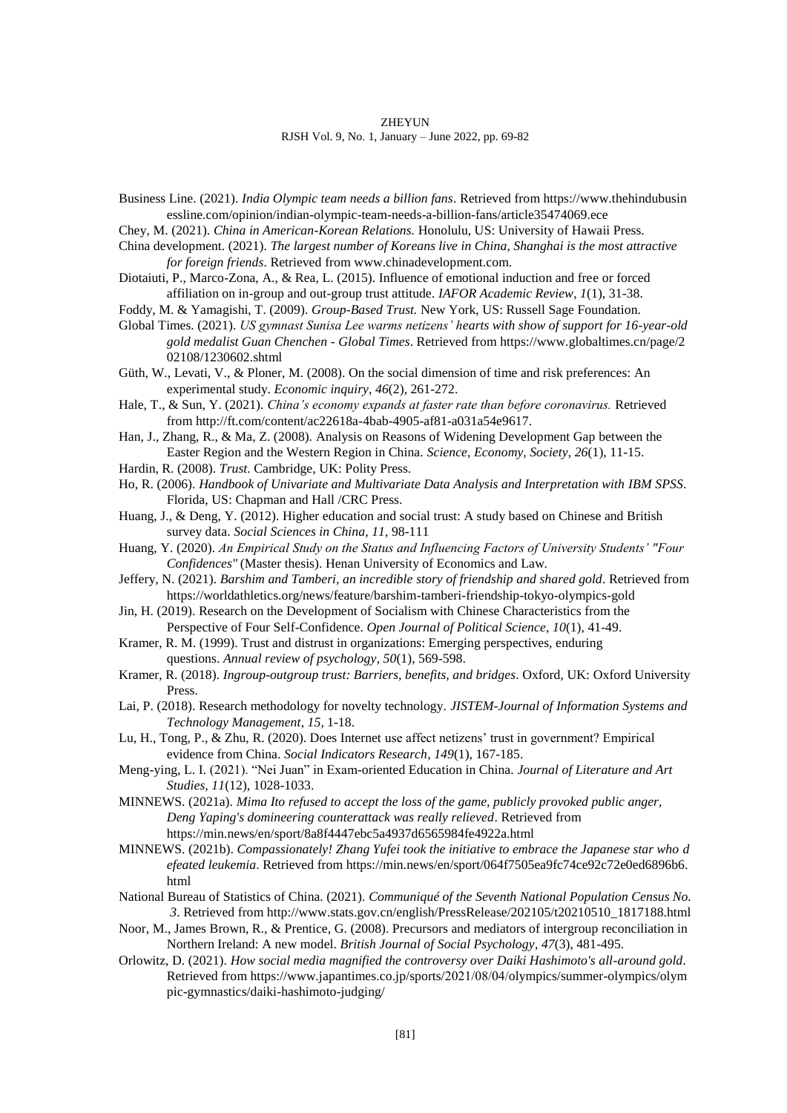#### **ZHEYUN**

RJSH Vol. 9, No. 1, January – June 2022, pp. 69-82

Business Line. (2021). *India Olympic team needs a billion fans*. Retrieved from https://www.thehindubusin essline.com/opinion/indian-olympic-team-needs-a-billion-fans/article35474069.ece

Chey, M. (2021). *China in American-Korean Relations.* Honolulu, US: University of Hawaii Press.

- China development. (2021). *The largest number of Koreans live in China, Shanghai is the most attractive for foreign friends*. Retrieved from www.chinadevelopment.com.
- Diotaiuti, P., Marco-Zona, A., & Rea, L. (2015). Influence of emotional induction and free or forced affiliation on in-group and out-group trust attitude. *IAFOR Academic Review*, *1*(1), 31-38.

Foddy, M. & Yamagishi, T. (2009). *Group-Based Trust.* New York, US: Russell Sage Foundation.

Global Times. (2021). *US gymnast Sunisa Lee warms netizens' hearts with show of support for 16-year-old gold medalist Guan Chenchen - Global Times*. Retrieved from https://www.globaltimes.cn/page/2 02108/1230602.shtml

Güth, W., Levati, V., & Ploner, M. (2008). On the social dimension of time and risk preferences: An experimental study. *Economic inquiry*, *46*(2), 261-272.

Hale, T., & Sun, Y. (2021). *China's economy expands at faster rate than before coronavirus.* Retrieved from http://ft.com/content/ac22618a-4bab-4905-af81-a031a54e9617.

Han, J., Zhang, R., & Ma, Z. (2008). Analysis on Reasons of Widening Development Gap between the Easter Region and the Western Region in China. *Science, Economy, Society*, *26*(1), 11-15.

Hardin, R. (2008). *Trust*. Cambridge, UK: Polity Press.

Ho, R. (2006). *Handbook of Univariate and Multivariate Data Analysis and Interpretation with IBM SPSS*. Florida, US: Chapman and Hall /CRC Press.

- Huang, J., & Deng, Y. (2012). Higher education and social trust: A study based on Chinese and British survey data. *Social Sciences in China*, *11*, 98-111
- Huang, Y. (2020). *An Empirical Study on the Status and Influencing Factors of University Students' "Four Confidences"* (Master thesis). Henan University of Economics and Law.
- Jeffery, N. (2021). *Barshim and Tamberi, an incredible story of friendship and shared gold*. Retrieved from https://worldathletics.org/news/feature/barshim-tamberi-friendship-tokyo-olympics-gold
- Jin, H. (2019). Research on the Development of Socialism with Chinese Characteristics from the Perspective of Four Self-Confidence. *Open Journal of Political Science*, *10*(1), 41-49.
- Kramer, R. M. (1999). Trust and distrust in organizations: Emerging perspectives, enduring questions. *Annual review of psychology*, *50*(1), 569-598.
- Kramer, R. (2018). *Ingroup-outgroup trust: Barriers, benefits, and bridges*. Oxford, UK: Oxford University Press.
- Lai, P. (2018). Research methodology for novelty technology. *JISTEM-Journal of Information Systems and Technology Management*, *15*, 1-18.
- Lu, H., Tong, P., & Zhu, R. (2020). Does Internet use affect netizens' trust in government? Empirical evidence from China. *Social Indicators Research*, *149*(1), 167-185.
- Meng-ying, L. I. (2021). "Nei Juan" in Exam-oriented Education in China. *Journal of Literature and Art Studies, 11*(12), 1028-1033.
- MINNEWS. (2021a). *Mima Ito refused to accept the loss of the game, publicly provoked public anger, Deng Yaping's domineering counterattack was really relieved*. Retrieved from https://min.news/en/sport/8a8f4447ebc5a4937d6565984fe4922a.html
- MINNEWS. (2021b). *Compassionately! Zhang Yufei took the initiative to embrace the Japanese star who d efeated leukemia*. Retrieved from https://min.news/en/sport/064f7505ea9fc74ce92c72e0ed6896b6. html
- National Bureau of Statistics of China. (2021). *Communiqué of the Seventh National Population Census No. 3*. Retrieved from http://www.stats.gov.cn/english/PressRelease/202105/t20210510\_1817188.html
- Noor, M., James Brown, R., & Prentice, G. (2008). Precursors and mediators of intergroup reconciliation in Northern Ireland: A new model. *British Journal of Social Psychology*, *47*(3), 481-495.
- Orlowitz, D. (2021). *How social media magnified the controversy over Daiki Hashimoto's all-around gold*. Retrieved from https://www.japantimes.co.jp/sports/2021/08/04/olympics/summer-olympics/olym pic-gymnastics/daiki-hashimoto-judging/